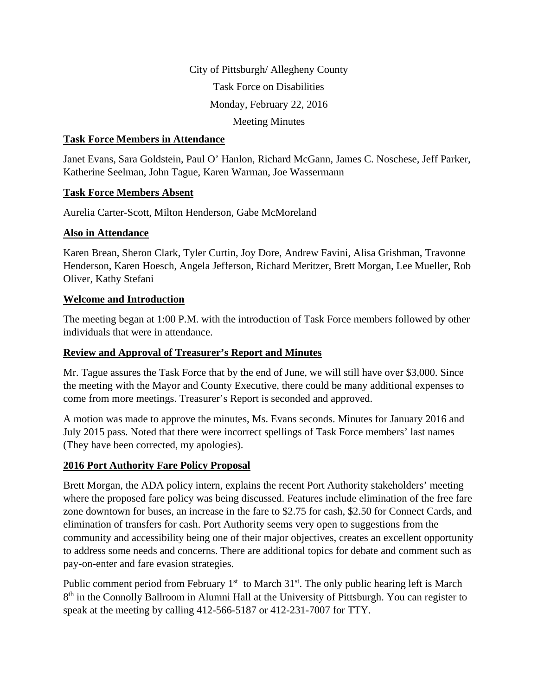City of Pittsburgh/ Allegheny County Task Force on Disabilities Monday, February 22, 2016 Meeting Minutes

### **Task Force Members in Attendance**

Janet Evans, Sara Goldstein, Paul O' Hanlon, Richard McGann, James C. Noschese, Jeff Parker, Katherine Seelman, John Tague, Karen Warman, Joe Wassermann

### **Task Force Members Absent**

Aurelia Carter-Scott, Milton Henderson, Gabe McMoreland

### **Also in Attendance**

Karen Brean, Sheron Clark, Tyler Curtin, Joy Dore, Andrew Favini, Alisa Grishman, Travonne Henderson, Karen Hoesch, Angela Jefferson, Richard Meritzer, Brett Morgan, Lee Mueller, Rob Oliver, Kathy Stefani

### **Welcome and Introduction**

The meeting began at 1:00 P.M. with the introduction of Task Force members followed by other individuals that were in attendance.

### **Review and Approval of Treasurer's Report and Minutes**

Mr. Tague assures the Task Force that by the end of June, we will still have over \$3,000. Since the meeting with the Mayor and County Executive, there could be many additional expenses to come from more meetings. Treasurer's Report is seconded and approved.

A motion was made to approve the minutes, Ms. Evans seconds. Minutes for January 2016 and July 2015 pass. Noted that there were incorrect spellings of Task Force members' last names (They have been corrected, my apologies).

## **2016 Port Authority Fare Policy Proposal**

Brett Morgan, the ADA policy intern, explains the recent Port Authority stakeholders' meeting where the proposed fare policy was being discussed. Features include elimination of the free fare zone downtown for buses, an increase in the fare to \$2.75 for cash, \$2.50 for Connect Cards, and elimination of transfers for cash. Port Authority seems very open to suggestions from the community and accessibility being one of their major objectives, creates an excellent opportunity to address some needs and concerns. There are additional topics for debate and comment such as pay-on-enter and fare evasion strategies.

Public comment period from February  $1<sup>st</sup>$  to March  $31<sup>st</sup>$ . The only public hearing left is March 8<sup>th</sup> in the Connolly Ballroom in Alumni Hall at the University of Pittsburgh. You can register to speak at the meeting by calling 412-566-5187 or 412-231-7007 for TTY.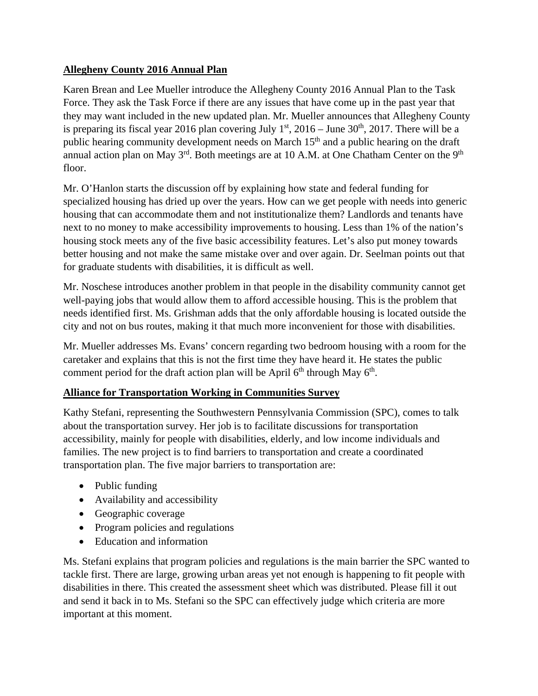## **Allegheny County 2016 Annual Plan**

Karen Brean and Lee Mueller introduce the Allegheny County 2016 Annual Plan to the Task Force. They ask the Task Force if there are any issues that have come up in the past year that they may want included in the new updated plan. Mr. Mueller announces that Allegheny County is preparing its fiscal year 2016 plan covering July  $1<sup>st</sup>$ , 2016 – June 30<sup>th</sup>, 2017. There will be a public hearing community development needs on March 15<sup>th</sup> and a public hearing on the draft annual action plan on May  $3<sup>rd</sup>$ . Both meetings are at 10 A.M. at One Chatham Center on the 9<sup>th</sup> floor.

Mr. O'Hanlon starts the discussion off by explaining how state and federal funding for specialized housing has dried up over the years. How can we get people with needs into generic housing that can accommodate them and not institutionalize them? Landlords and tenants have next to no money to make accessibility improvements to housing. Less than 1% of the nation's housing stock meets any of the five basic accessibility features. Let's also put money towards better housing and not make the same mistake over and over again. Dr. Seelman points out that for graduate students with disabilities, it is difficult as well.

Mr. Noschese introduces another problem in that people in the disability community cannot get well-paying jobs that would allow them to afford accessible housing. This is the problem that needs identified first. Ms. Grishman adds that the only affordable housing is located outside the city and not on bus routes, making it that much more inconvenient for those with disabilities.

Mr. Mueller addresses Ms. Evans' concern regarding two bedroom housing with a room for the caretaker and explains that this is not the first time they have heard it. He states the public comment period for the draft action plan will be April  $6<sup>th</sup>$  through May  $6<sup>th</sup>$ .

## **Alliance for Transportation Working in Communities Survey**

Kathy Stefani, representing the Southwestern Pennsylvania Commission (SPC), comes to talk about the transportation survey. Her job is to facilitate discussions for transportation accessibility, mainly for people with disabilities, elderly, and low income individuals and families. The new project is to find barriers to transportation and create a coordinated transportation plan. The five major barriers to transportation are:

- Public funding
- Availability and accessibility
- Geographic coverage
- Program policies and regulations
- Education and information

Ms. Stefani explains that program policies and regulations is the main barrier the SPC wanted to tackle first. There are large, growing urban areas yet not enough is happening to fit people with disabilities in there. This created the assessment sheet which was distributed. Please fill it out and send it back in to Ms. Stefani so the SPC can effectively judge which criteria are more important at this moment.